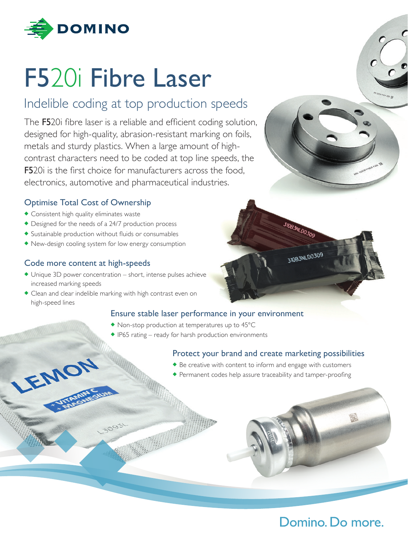

# F520i Fibre Laser

## Indelible coding at top production speeds

The F520i fibre laser is a reliable and efficient coding solution, designed for high-quality, abrasion-resistant marking on foils, metals and sturdy plastics. When a large amount of highcontrast characters need to be coded at top line speeds, the **F5**20i is the first choice for manufacturers across the food. electronics, automotive and pharmaceutical industries.

#### Optimise Total Cost of Ownership

- $\triangle$  Consistent high quality eliminates waste
- $\bullet$  Designed for the needs of a 24/7 production process
- $\bullet$  Sustainable production without fluids or consumables
- $\blacklozenge$  New-design cooling system for low energy consumption

#### Code more content at high-speeds

EMO

- $\blacklozenge$  Unique 3D power concentration short, intense pulses achieve increased marking speeds
- $\triangle$  Clean and clear indelible marking with high contrast even on high-speed lines

30931

#### Ensure stable laser performance in your environment

- $\bullet$  Non-stop production at temperatures up to 45 $^{\circ}$ C
- $\triangle$  IP65 rating ready for harsh production environments

#### Protect your brand and create marketing possibilities

- $\blacklozenge$  Be creative with content to inform and engage with customers
- Permanent codes help assure traceability and tamper-proofing





310B3NLD0309